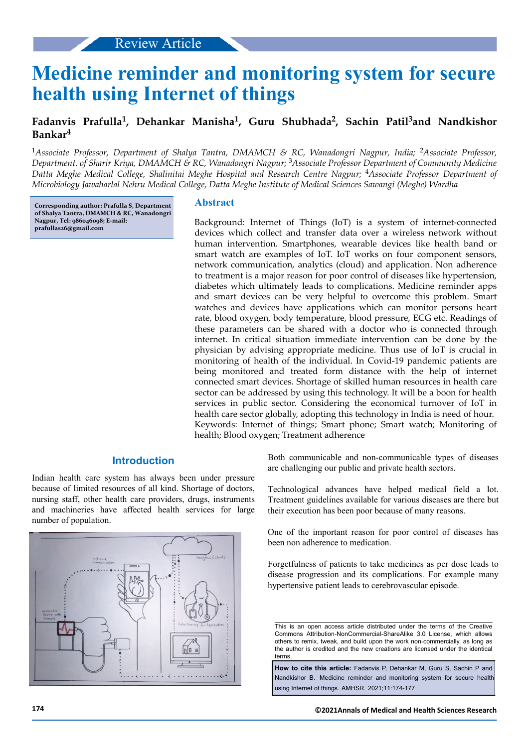# **Medicine reminder and monitoring system for secure health using Internet of things**

# **Fadanvis Prafulla<sup>1</sup> , Dehankar Manisha<sup>1</sup> , Guru Shubhada<sup>2</sup> , Sachin Patil3and Nandkishor Bankar<sup>4</sup>**

<sup>1</sup>Associate Professor, Department of Shalya Tantra, DMAMCH & RC, Wanadongri Nagpur, India; <sup>2</sup>Associate Professor, *Department. of Sharir Kriya, DMAMCH & RC, Wanadongri Nagpur;* 3*Associate Professor Department of Community Medicine Datta Meghe Medical College, Shalinitai Meghe Hospital and Research Centre Nagpur;* 4*Associate Professor Department of Microbiology Jawaharlal Nehru Medical College, Datta Meghe Institute of Medical Sciences Sawangi (Meghe) Wardha*

**Corresponding author: Prafulla S, Department of Shalya Tantra, DMAMCH & RC, Wanadongri Nagpur, Tel: 986046098; E-mail: prafullas26@gmail.com**

# **Abstract**

Background: Internet of Things (IoT) is a system of internet-connected devices which collect and transfer data over a wireless network without human intervention. Smartphones, wearable devices like health band or smart watch are examples of IoT. IoT works on four component sensors, network communication, analytics (cloud) and application. Non adherence to treatment is a major reason for poor control of diseases like hypertension, diabetes which ultimately leads to complications. Medicine reminder apps and smart devices can be very helpful to overcome this problem. Smart watches and devices have applications which can monitor persons heart rate, blood oxygen, body temperature, blood pressure, ECG etc. Readings of these parameters can be shared with a doctor who is connected through internet. In critical situation immediate intervention can be done by the physician by advising appropriate medicine. Thus use of IoT is crucial in monitoring of health of the individual. In Covid-19 pandemic patients are being monitored and treated form distance with the help of internet connected smart devices. Shortage of skilled human resources in health care sector can be addressed by using this technology. It will be a boon for health services in public sector. Considering the economical turnover of IoT in health care sector globally, adopting this technology in India is need of hour. Keywords: Internet of things; Smart phone; Smart watch; Monitoring of health; Blood oxygen; Treatment adherence

# **Introduction**

Indian health care system has always been under pressure because of limited resources of all kind. Shortage of doctors, nursing staff, other health care providers, drugs, instruments and machineries have affected health services for large number of population.



Both communicable and non-communicable types of diseases are challenging our public and private health sectors.

Technological advances have helped medical field a lot. Treatment guidelines available for various diseases are there but their execution has been poor because of many reasons.

One of the important reason for poor control of diseases has been non adherence to medication.

Forgetfulness of patients to take medicines as per dose leads to disease progression and its complications. For example many hypertensive patient leads to cerebrovascular episode.

This is an open access article distributed under the terms of the Creative Commons Attribution‑NonCommercial‑ShareAlike 3.0 License, which allows others to remix, tweak, and build upon the work non‑commercially, as long as the author is credited and the new creations are licensed under the identical terms.

**How to cite this article:** Fadanvis P, Dehankar M, Guru S, Sachin P and Nandkishor B. Medicine reminder and monitoring system for secure health using Internet of things. AMHSR. 2021;11:174-177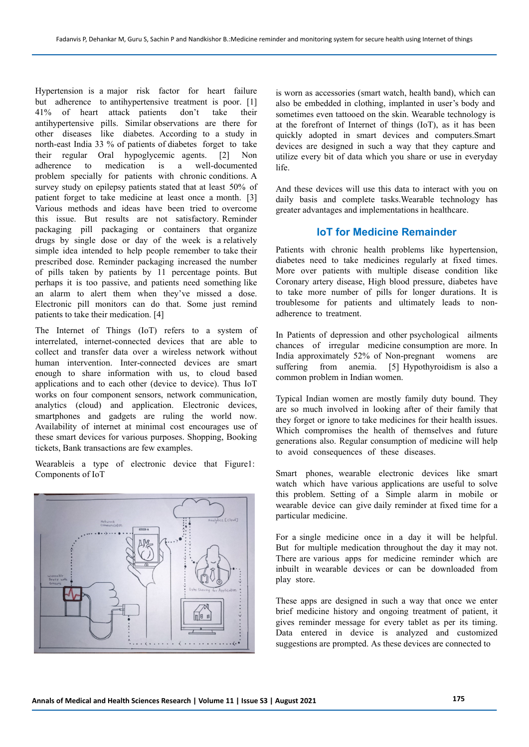Hypertension is a major risk factor for heart failure but adherence to antihypertensive treatment is poor. [1] 41% of heart attack patients don't take their antihypertensive pills. Similar observations are there for other diseases like diabetes. According to a study in north-east India 33 % of patients of diabetes forget to take their regular Oral hypoglycemic agents. [2] Non adherence to medication is a well-documented problem specially for patients with chronic conditions. A survey study on epilepsy patients stated that at least 50% of patient forget to take medicine at least once a month. [3] Various methods and ideas have been tried to overcome this issue. But results are not satisfactory. Reminder packaging pill packaging or containers that organize drugs by single dose or day of the week is a relatively simple idea intended to help people remember to take their prescribed dose. Reminder packaging increased the number of pills taken by patients by 11 percentage points. But perhaps it is too passive, and patients need something like an alarm to alert them when they've missed a dose. Electronic pill monitors can do that. Some just remind patients to take their medication. [4]

The Internet of Things (IoT) refers to a system of interrelated, internet-connected devices that are able to collect and transfer data over a wireless network without human intervention. Inter-connected devices are smart enough to share information with us, to cloud based applications and to each other (device to device). Thus IoT works on four component sensors, network communication, analytics (cloud) and application. Electronic devices, smartphones and gadgets are ruling the world now. Availability of internet at minimal cost encourages use of these smart devices for various purposes. Shopping, Booking tickets, Bank transactions are few examples.

Wearableis a type of electronic device that Figure1: Components of IoT



is worn as accessories (smart watch, health band), which can also be embedded in clothing, implanted in user's body and sometimes even tattooed on the skin. Wearable technology is at the forefront of Internet of things (IoT), as it has been quickly adopted in smart devices and computers.Smart devices are designed in such a way that they capture and utilize every bit of data which you share or use in everyday life.

And these devices will use this data to interact with you on daily basis and complete tasks.Wearable technology has greater advantages and implementations in healthcare.

# **IoT for Medicine Remainder**

Patients with chronic health problems like hypertension, diabetes need to take medicines regularly at fixed times. More over patients with multiple disease condition like Coronary artery disease, High blood pressure, diabetes have to take more number of pills for longer durations. It is troublesome for patients and ultimately leads to nonadherence to treatment.

In Patients of depression and other psychological ailments chances of irregular medicine consumption are more. In India approximately 52% of Non-pregnant womens are suffering from anemia. [5] Hypothyroidism is also a common problem in Indian women.

Typical Indian women are mostly family duty bound. They are so much involved in looking after of their family that they forget or ignore to take medicines for their health issues. Which compromises the health of themselves and future generations also. Regular consumption of medicine will help to avoid consequences of these diseases.

Smart phones, wearable electronic devices like smart watch which have various applications are useful to solve this problem. Setting of a Simple alarm in mobile or wearable device can give daily reminder at fixed time for a particular medicine.

For a single medicine once in a day it will be helpful. But for multiple medication throughout the day it may not. There are various apps for medicine reminder which are inbuilt in wearable devices or can be downloaded from play store.

These apps are designed in such a way that once we enter brief medicine history and ongoing treatment of patient, it gives reminder message for every tablet as per its timing. Data entered in device is analyzed and customized suggestions are prompted. As these devices are connected to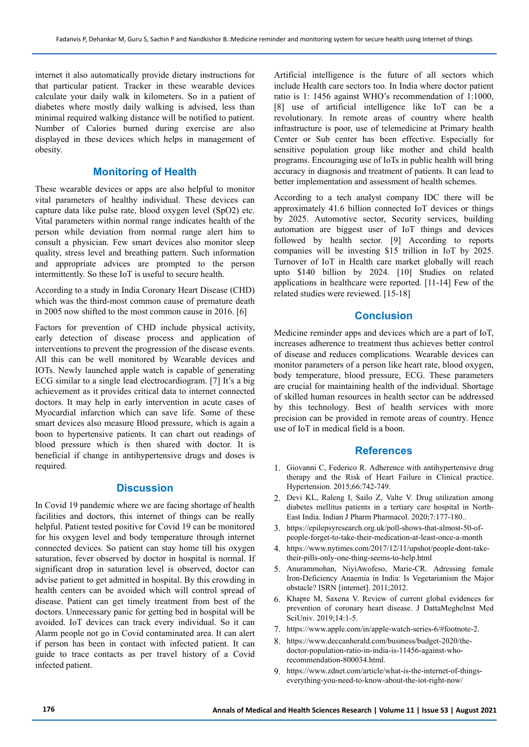internet it also automatically provide dietary instructions for that particular patient. Tracker in these wearable devices calculate your daily walk in kilometers. So in a patient of diabetes where mostly daily walking is advised, less than minimal required walking distance will be notified to patient. Number of Calories burned during exercise are also displayed in these devices which helps in management of obesity.

## **Monitoring of Health**

These wearable devices or apps are also helpful to monitor vital parameters of healthy individual. These devices can capture data like pulse rate, blood oxygen level (SpO2) etc. Vital parameters within normal range indicates health of the person while deviation from normal range alert him to consult a physician. Few smart devices also monitor sleep quality, stress level and breathing pattern. Such information and appropriate advices are prompted to the person intermittently. So these IoT is useful to secure health.

According to a study in India Coronary Heart Disease (CHD) which was the third-most common cause of premature death in 2005 now shifted to the most common cause in 2016. [6]

Factors for prevention of CHD include physical activity, early detection of disease process and application of interventions to prevent the progression of the disease events. All this can be well monitored by Wearable devices and IOTs. Newly launched apple watch is capable of generating ECG similar to a single lead electrocardiogram. [7] It's a big achievement as it provides critical data to internet connected doctors. It may help in early intervention in acute cases of Myocardial infarction which can save life. Some of these smart devices also measure Blood pressure, which is again a boon to hypertensive patients. It can chart out readings of blood pressure which is then shared with doctor. It is beneficial if change in antihypertensive drugs and doses is required.

#### **Discussion**

In Covid 19 pandemic where we are facing shortage of health facilities and doctors, this internet of things can be really helpful. Patient tested positive for Covid 19 can be monitored for his oxygen level and body temperature through internet connected devices. So patient can stay home till his oxygen saturation, fever observed by doctor in hospital is normal. If significant drop in saturation level is observed, doctor can advise patient to get admitted in hospital. By this crowding in health centers can be avoided which will control spread of disease. Patient can get timely treatment from best of the doctors. Unnecessary panic for getting bed in hospital will be avoided. IoT devices can track every individual. So it can Alarm people not go in Covid contaminated area. It can alert if person has been in contact with infected patient. It can guide to trace contacts as per travel history of a Covid infected patient.

Artificial intelligence is the future of all sectors which include Health care sectors too. In India where doctor patient ratio is 1: 1456 against WHO's recommendation of 1:1000, [8] use of artificial intelligence like IoT can be a revolutionary. In remote areas of country where health infrastructure is poor, use of telemedicine at Primary health Center or Sub center has been effective. Especially for sensitive population group like mother and child health programs. Encouraging use of IoTs in public health will bring accuracy in diagnosis and treatment of patients. It can lead to better implementation and assessment of health schemes.

According to a tech analyst company IDC there will be approximately 41.6 billion connected IoT devices or things by 2025. Automotive sector, Security services, building automation are biggest user of IoT things and devices followed by health sector. [9] According to reports companies will be investing \$15 trillion in IoT by 2025. Turnover of IoT in Health care market globally will reach upto \$140 billion by 2024. [10] Studies on related applications in healthcare were reported. [11-14] Few of the related studies were reviewed. [15-18]

# **Conclusion**

Medicine reminder apps and devices which are a part of IoT, increases adherence to treatment thus achieves better control of disease and reduces complications. Wearable devices can monitor parameters of a person like heart rate, blood oxygen, body temperature, blood pressure, ECG. These parameters are crucial for maintaining health of the individual. Shortage of skilled human resources in health sector can be addressed by this technology. Best of health services with more precision can be provided in remote areas of country. Hence use of IoT in medical field is a boon.

## **References**

- 1. Giovanni C, Federico R. Adherence with antihypertensive drug therapy and the Risk of Heart Failure in Clinical practice. Hypertension. 2015;66:742-749.
- 2. Devi KL, Raleng I, Sailo Z, Valte V. Drug utilization among diabetes mellitus patients in a tertiary care hospital in North-East India. Indian J Pharm Pharmacol. 2020;7:177-180..
- 3. https://epilepsyresearch.org.uk/poll-shows-that-almost-50-ofpeople-forget-to-take-their-medication-at-least-once-a-month
- 4. https://www.nytimes.com/2017/12/11/upshot/people-dont-taketheir-pills-only-one-thing-seems-to-help.html
- 5. Anurammohan, NiyiAwofeso, Marie-CR. Adressing female Iron-Deficiency Anaemia in India: Is Vegetarianism the Major obstacle? ISRN [internet]. 2011;2012.
- 6. Khapre M, Saxena V. Review of current global evidences for prevention of coronary heart disease. J DattaMegheInst Med SciUniv. 2019;14:1-5.
- 7. https://www.apple.com/in/apple-watch-series-6/#footnote-2.
- 8. https://www.deccanherald.com/business/budget-2020/thedoctor-population-ratio-in-india-is-11456-against-whorecommendation-800034.html.
- 9. https://www.zdnet.com/article/what-is-the-internet-of-thingseverything-you-need-to-know-about-the-iot-right-now/